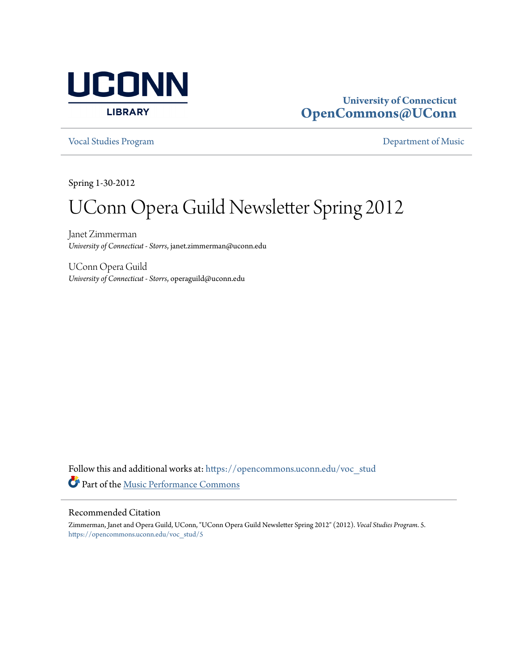

#### **University of Connecticut [OpenCommons@UConn](https://opencommons.uconn.edu?utm_source=opencommons.uconn.edu%2Fvoc_stud%2F5&utm_medium=PDF&utm_campaign=PDFCoverPages)**

[Vocal Studies Program](https://opencommons.uconn.edu/voc_stud?utm_source=opencommons.uconn.edu%2Fvoc_stud%2F5&utm_medium=PDF&utm_campaign=PDFCoverPages) [Department of Music](https://opencommons.uconn.edu/music?utm_source=opencommons.uconn.edu%2Fvoc_stud%2F5&utm_medium=PDF&utm_campaign=PDFCoverPages)

Spring 1-30-2012

# UConn Opera Guild Newsletter Spring 2012

Janet Zimmerman *University of Connecticut - Storrs*, janet.zimmerman@uconn.edu

UConn Opera Guild *University of Connecticut - Storrs*, operaguild@uconn.edu

Follow this and additional works at: [https://opencommons.uconn.edu/voc\\_stud](https://opencommons.uconn.edu/voc_stud?utm_source=opencommons.uconn.edu%2Fvoc_stud%2F5&utm_medium=PDF&utm_campaign=PDFCoverPages) Part of the [Music Performance Commons](http://network.bepress.com/hgg/discipline/1128?utm_source=opencommons.uconn.edu%2Fvoc_stud%2F5&utm_medium=PDF&utm_campaign=PDFCoverPages)

#### Recommended Citation

Zimmerman, Janet and Opera Guild, UConn, "UConn Opera Guild Newsletter Spring 2012" (2012). *Vocal Studies Program*. 5. [https://opencommons.uconn.edu/voc\\_stud/5](https://opencommons.uconn.edu/voc_stud/5?utm_source=opencommons.uconn.edu%2Fvoc_stud%2F5&utm_medium=PDF&utm_campaign=PDFCoverPages)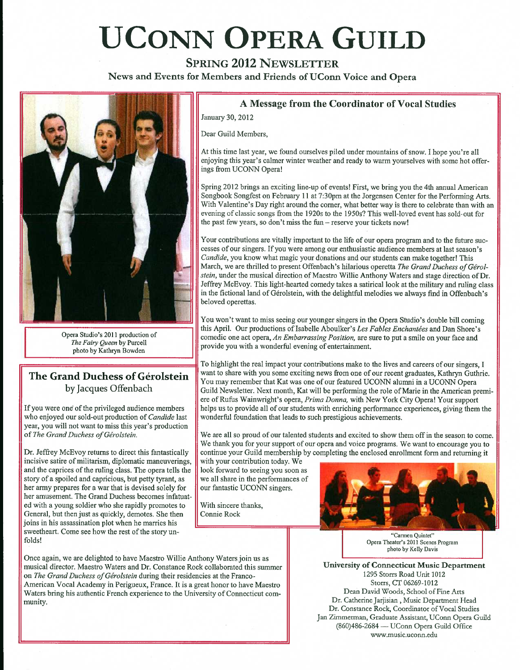# **UCONN OPERA GUILD**

**SPRING 2012 NEWSLETTER** 

**News and Events for Members and Friends of UConn Voice and Opera** 



Opera Studio's 2011 production of *The Fairy Queen* by Purcell photo by Kathryn Bowden

#### **The Grand Duchess of Gerolstein**  by Jacques Offenbach

If you were one' of the privileged audience members who enjoyed our sold-out production of *Candide* last year, you will not want to miss this year's production of *The Grand Duchess of Gerolstein.* 

Dr. Jeffrey McEvoy returns to direct this fantastically incisive satire of militarism, diplomatic maneuverings, and the caprices of the ruling class. The opera tells the story of a spoiled and capricious, but petty tyrant, as her army prepares for a war that is devised solely for her amusement. The Grand Duchess becomes infatuated with a young soldier who she rapidly promotes to General, but then just as quickly, demotes. She then joins in his assassination plot when he marries his sweetheart. Come see how the rest of the story unfolds!

#### Once again, we are delighted to have Maestro Willie Anthony Waters join us as musical director. Maestro Waters and Dr. Constance Rock collaborated this summer on *The Grand Duchess of Gerolstein* during their residencies at the Franco-American Vocal Academy in Perigueux, France. It is a great honor to have Maestro Waters bring his authentic French experience to the University of Connecticut community.

#### **A Message from the Coordinator of Vocal Studies**

January 30, 2012

Dear Guild Members,

At this time last year, we found ourselves piled under mountains of snow. I hope you're all enjoying this year's calmer winter weather and ready to warm yourselves with some hot offerings from UCONN Opera!

Spring 2012 brings an exciting line-up of events! First, we bring you the 4th annual American Songbook Songfest on Febraary 11 at 7:30pm at the Jorgensen Center for the Performing Arts. With Valentine's Day right around the corner, what better way is there to celebrate than with an evening of classic songs from the 1920s to the 1950s? This well-loved event has sold-out for the past few years, so don't miss the fun - reserve your tickets now!

Your contributions are vitally important to the life of our opera program and to the future successes of our singers. If you were among our enthusiastic audience members at last season's *Candide,* you know what magic your donations and our students can make together! This March, we are thrilled to present Offenbach's hilarious operetta *The Grand Duchess of Gerolstein,* under the musical direction of Maestro Willie Anthony Waters and stage direction of Dr. Jeffrey McEvoy. This light-hearted comedy takes a satirical look at the military and ruling class in the fictional land of Gérolstein, with the delightful melodies we always find in Offenbach's beloved operettas.

You won't want to miss seeing our younger singers in the Opera Studio's double bill coming this April. Our productions of Isabelle Aboulker's Les Fables Enchantées and Dan Shore's comedic one act opera, *An Embarrassing Position,* are sure to put a smile on your face and provide you with a wonderful evening of entertainment.

To highlight the real impact your contributions make to the lives and careers of our singers, I want to share with you some exciting news from one of our recent graduates, Kathryn Guthrie. You may remember that Kat was one of our featured UCONN alumni in a UCONN Opera Guild Newsletter. Next month, Kat will be performing the role of Marie in the American premiere of Rufiis Wainwright's opera. *Prima Donna,* with New York City Opera! Your support helps us to provide all of our students with enriching performance experiences, giving them the wonderfiil foundation that leads to such prestigious achievements.

We are all so proud of our talented students and excited to show them off in the season to come. We thank you for your support of our opera and voice programs. We want to encourage you to continue your Guild membership by completing the enclosed enrollment form and returning it

with your contribution today. We look forward to seeing you soon as we all share in the performances of our fantastic UCONN singers.

With sincere thanks, Connie Rock



"Carmen Quintet" Opera Theater's 2011 Scenes Program photo by Kelly Davis

**University of Connecticut Music Department**  1295 Storrs Road Unit 1012 Storrs, CT 06269-1012 Dean David Woods, School of Fine Arts Dr. Catherine Jarjisian , Music Department Head Dr. Constance Rock, Coordinator of Vocal Studies Jan Zimmerman, Graduate Assistant, UConn Opera Guild (860)486-2684 — UConn Opera Guild Office \vww.music.uconn.edu